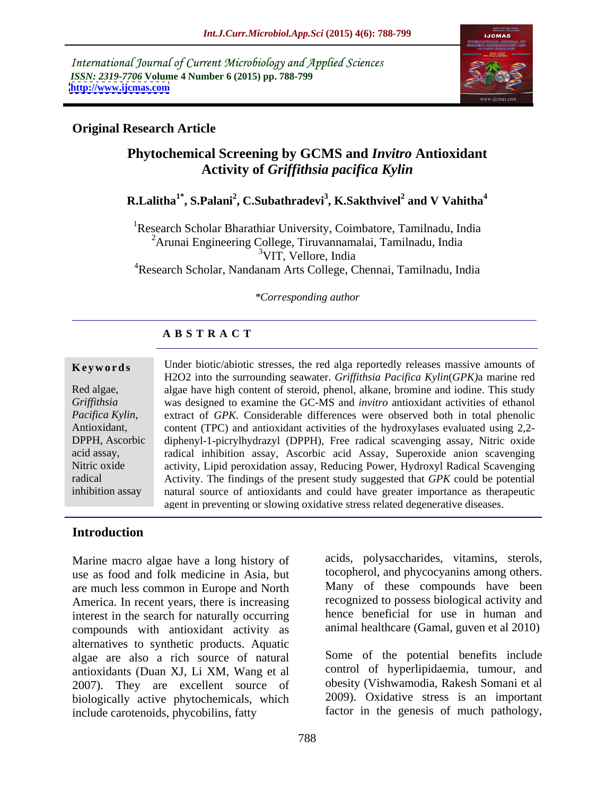International Journal of Current Microbiology and Applied Sciences *ISSN: 2319-7706* **Volume 4 Number 6 (2015) pp. 788-799 <http://www.ijcmas.com>**



### **Original Research Article**

## **Phytochemical Screening by GCMS and** *Invitro* **Antioxidant Activity of** *Griffithsia pacifica Kylin*

#### **R.Lalitha1\* , S.Palani<sup>2</sup> , C.Subathradevi<sup>3</sup> , K.Sakthvivel<sup>2</sup> and V Vahitha<sup>4</sup>**

<sup>1</sup>Research Scholar Bharathiar University, Coimbatore, Tamilnadu, India  $2^2$ Arunai Engineering College, Tiruvannamalai, Tamilnadu, India<br> $3VIT$ . Vellore, India <sup>3</sup>VIT, Vellore, India <sup>4</sup>Research Scholar, Nandanam Arts College, Chennai, Tamilnadu, India

#### *\*Corresponding author*

#### **A B S T R A C T**

inhibition assay

**Keywords** Under biotic/abiotic stresses, the red alga reportedly releases massive amounts of H2O2 into the surrounding seawater. *Griffithsia Pacifica Kylin*(*GPK*) a marine red Red algae, algae have high content of steroid, phenol, alkane, bromine and iodine. This study was designed to examine the GC-MS and *invitro* antioxidant activities of ethanol *Griffithsia*  extract of *GPK.* Considerable differences were observed both in total phenolic *Pacifica Kylin*, extract of *GPK*. Considerable differences were observed both in total phenolic content (TPC) and antioxidant activities of the hydroxylases evaluated using 2,2-DPPH, Ascorbic diphenyl-1-picrylhydrazyl (DPPH), Free radical scavenging assay, Nitric oxide radical inhibition assay, Ascorbic acid Assay, Superoxide anion scavenging acid assay, activity, Lipid peroxidation assay, Reducing Power, Hydroxyl Radical Scavenging Nitric oxide Activity. The findings of the present study suggested that *GPK* could be potential radical natural source of antioxidants and could have greater importance as therapeutic agent in preventing or slowing oxidative stress related degenerative diseases.

#### **Introduction**

Marine macro algae have a long history of use as food and folk medicine in Asia, but are much less common in Europe and North America. In recent years, there is increasing interest in the search for naturally occurring compounds with antioxidant activity as alternatives to synthetic products. Aquatic algae are also a rich source of natural antioxidants (Duan XJ, Li XM, Wang et al 2007). They are excellent source of biologically active phytochemicals, which include carotenoids, phycobilins, fatty

acids, polysaccharides, vitamins, sterols, tocopherol, and phycocyanins among others. Many of these compounds have been recognized to possess biological activity and hence beneficial for use in human and animal healthcare (Gamal, guven et al 2010)

Some of the potential benefits include control of hyperlipidaemia, tumour, and obesity (Vishwamodia, Rakesh Somani et al 2009). Oxidative stress is an important factor in the genesis of much pathology,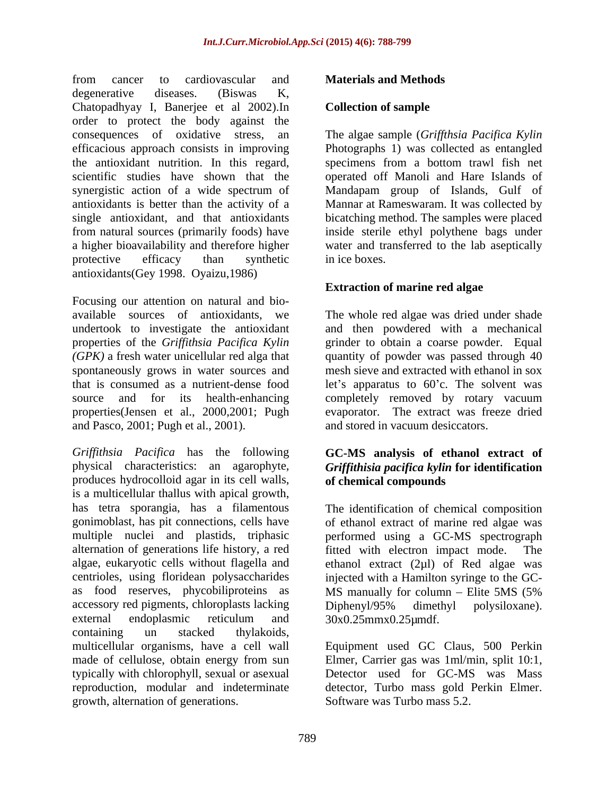from cancer to cardiovascular and **Materials and Methods** degenerative diseases. (Biswas K, Chatopadhyay I, Banerjee et al 2002).In order to protect the body against the consequences of oxidative stress, an The algae sample (*Griffthsia Pacifica Kylin* efficacious approach consists in improving Photographs 1) was collected as entangled the antioxidant nutrition. In this regard, specimens from a bottom trawl fish net scientific studies have shown that the operated off Manoli and Hare Islands of synergistic action of a wide spectrum of Mandapam group of Islands, Gulf of antioxidants is better than the activity of a Mannar at Rameswaram. It was collected by single antioxidant, and that antioxidants bicatching method. The samples were placed from natural sources (primarily foods) have inside sterile ethyl polythene bags under a higher bioavailability and therefore higher water and transferred to the lab aseptically protective efficacy than synthetic in ice boxes. antioxidants(Gey 1998. Oyaizu,1986)

Focusing our attention on natural and bio available sources of antioxidants, we The whole red algae was dried under shade undertook to investigate the antioxidant and then powdered with a mechanical properties of the *Griffithsia Pacifica Kylin* grinder to obtain a coarse powder. Equal *(GPK)* a fresh water unicellular red alga that quantity of powder was passed through 40 spontaneously grows in water sources and mesh sieve and extracted with ethanol in sox that is consumed as a nutrient-dense food let's apparatus to 60'c. The solvent was source and for its health-enhancing completely removed by rotary vacuum properties(Jensen et al., 2000,2001; Pugh and Pasco, 2001; Pugh et al., 2001).

*Grif ithsia Pacifica* has the following **GC-MS analysis of ethanol extract of** physical characteristics: an agarophyte, *Griffithisia pacifica kylin* **for identification** produces hydrocolloid agar in its cell walls, is a multicellular thallus with apical growth, has tetra sporangia, has a filamentous The identification of chemical composition gonimoblast, has pit connections, cells have of ethanol extract of marine red algae was multiple nuclei and plastids, triphasic performed using a GC-MS spectrograph alternation of generations life history, a red algae, eukaryotic cells without flagella and ethanol extract (2µl) of Red algae was centrioles, using floridean polysaccharides injected with a Hamilton syringe to the GC as food reserves, phycobiliproteins as MS manually for column – Elite 5MS (5%) accessory red pigments, chloroplasts lacking Diphenyl/95% dimethyl polysiloxane). external endoplasmic reticulum and  $30x0.25mmx0.25\mu$ mdf. containing un stacked thylakoids, multicellular organisms, have a cell wall Equipment used GC Claus, 500 Perkin made of cellulose, obtain energy from sun Elmer, Carrier gas was 1ml/min, split 10:1, typically with chlorophyll, sexual or asexual Detector used for GC-MS was Mass reproduction, modular and indeterminate growth, alternation of generations.

#### **Materials and Methods**

#### **Collection of sample**

in ice boxes.

#### **Extraction of marine red algae**

evaporator. The extract was freeze dried and stored in vacuum desiccators.

# **of chemical compounds**

fitted with electron impact mode. MS manually for column – Elite 5MS (5% Diphenyl/95% dimethyl polysiloxane). 30x0.25mmx0.25µmdf.

detector, Turbo mass gold Perkin Elmer. Software was Turbo mass 5.2.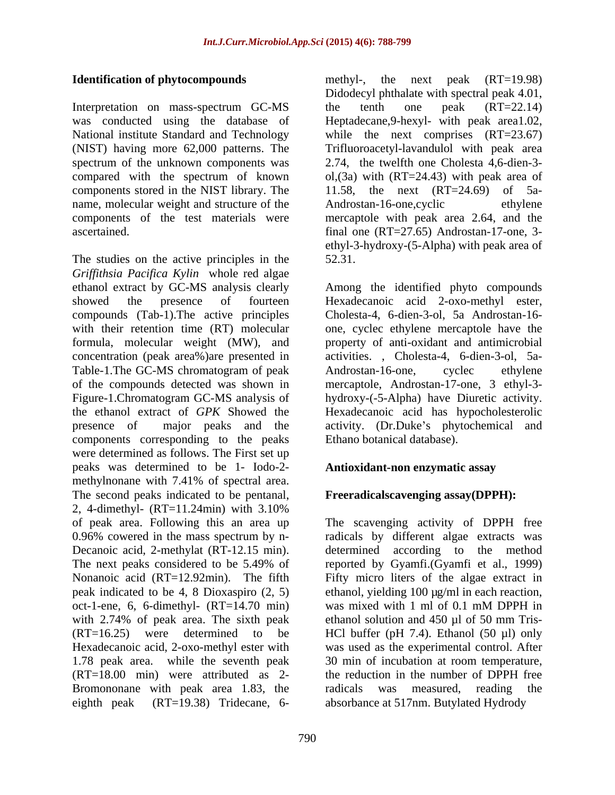Interpretation on mass-spectrum GC-MS the tenth one peak (RT=22.14) was conducted using the database of Heptadecane,9-hexyl- with peak area1.02, National institute Standard and Technology while the next comprises (RT=23.67) (NIST) having more 62,000 patterns. The Trifluoroacetyl-lavandulol with peak area spectrum of the unknown components was 2.74, the twelfth one Cholesta 4,6-dien-3 compared with the spectrum of known ol,(3a) with (RT=24.43) with peak area of components stored in the NIST library. The name, molecular weight and structure of the Androstan-16-one, cyclic ethylene components of the test materials were mercaptole with peak area 2.64, and the ascertained. final one (RT=27.65) Androstan-17-one, 3-

The studies on the active principles in the 52.31. *Grif ithsia Pacifica Kylin* whole red algae ethanol extract by GC-MS analysis clearly Among the identified phyto compounds showed the presence of fourteen Hexadecanoic acid 2-oxo-methyl ester, compounds (Tab-1).The active principles with their retention time (RT) molecular formula, molecular weight (MW), and property of anti-oxidant and antimicrobial concentration (peak area%)are presented in activities. , Cholesta-4, 6-dien-3-ol, 5a- Table-1. The GC-MS chromatogram of peak Androstan-16-one, cyclec ethylene of the compounds detected was shown in mercaptole, Androstan-17-one, 3 ethyl-3- Figure-1.Chromatogram GC-MS analysis of hydroxy-(-5-Alpha) have Diuretic activity. the ethanol extract of *GPK* Showed the Hexadecanoic acid has hypocholesterolic presence of major peaks and the activity. (Dr.Duke's phytochemical and components corresponding to the peaks were determined as follows. The First set up peaks was determined to be 1- Iodo-2 methylnonane with 7.41% of spectral area. The second peaks indicated to be pentanal, 2, 4-dimethyl- (RT=11.24min) with 3.10% of peak area. Following this an area up The scavenging activity of DPPH free 0.96% cowered in the mass spectrum by n- radicals by different algae extracts was Decanoic acid, 2-methylat (RT-12.15 min). determined according to the method The next peaks considered to be 5.49% of reported by Gyamfi. (Gyamfi et al., 1999) Nonanoic acid (RT=12.92min). The fifth peak indicated to be 4, 8 Dioxaspiro  $(2, 5)$  ethanol, yielding 100 µg/ml in each reaction, oct-1-ene, 6, 6-dimethyl- (RT=14.70 min) was mixed with 1 ml of 0.1 mM DPPH in with 2.74% of peak area. The sixth peak ethanol solution and 450 µl of 50 mm Tris- $(RT=16.25)$  were determined to be HCl buffer (pH 7.4). Ethanol (50 µl) only Hexadecanoic acid, 2-oxo-methyl ester with was used as the experimental control. After 1.78 peak area. while the seventh peak 30 min of incubation at room temperature,  $(RT=18.00 \text{ min})$  were attributed as 2- the reduction in the number of DPPH free Bromononane with peak area 1.83, the radicals was measured, reading the **Electrification of phytocompounds** the next peak (RT=19.88) the next peak (RT=19.38) the next peak (RT=19.28) the next peak (RT=19.28) Tridecane, the next peak (RT=19.28) Tridecane, the next peak (RT=19.88) Tridecane, th

**Identification of phytocompounds** methyl-, the next peak (RT=19.98) Didodecyl phthalate with spectral peak 4.01, the tenth one peak (RT=22.14) 11.58, the next (RT=24.69) of 5a- Androstan-16-one, cyclic ethyl-3-hydroxy-(5-Alpha) with peak area of 52.31.

> Cholesta-4, 6-dien-3-ol, 5a Androstan-16 one, cyclec ethylene mercaptole have the Androstan-16-one, cyclec ethylene Ethano botanical database).

#### **Antioxidant-non enzymatic assay**

#### **Freeradicalscavenging assay(DPPH):**

reported by Gyamfi.(Gyamfi et al., 1999) Fifty micro liters of the algae extract in was mixed with 1 ml of 0.1 mM DPPH in ethanol solution and 450 µl of 50 mm Tris radicals was measured, reading the absorbance at 517nm. Butylated Hydrody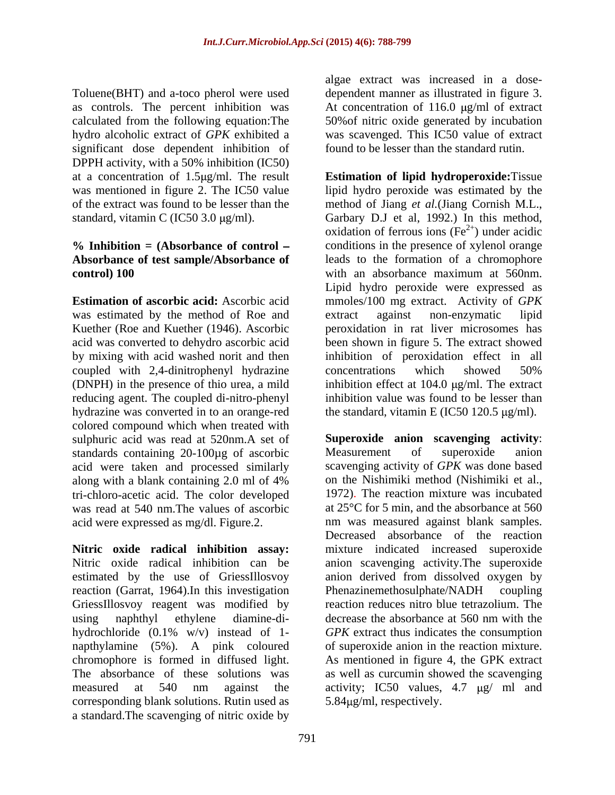Toluene(BHT) and a-toco pherol were used dependent manner as illustrated in figure 3. as controls. The percent inhibition was At concentration of 116.0  $\mu$ g/ml of extract calculated from the following equation:The 50%of nitric oxide generated by incubation hydro alcoholic extract of *GPK* exhibited a was scavenged. This IC50 value of extract significant dose dependent inhibition of DPPH activity, with a 50% inhibition (IC50)

# **control) 100** vith an absorbance maximum at 560nm.

was estimated by the method of Roe and extract against non-enzymatic lipid by mixing with acid washed norit and then coupled with 2,4-dinitrophenyl hydrazine concentrations which showed 50% (DNPH) in the presence of thio urea, a mild hydrazine was converted in to an orange-red colored compound which when treated with sulphuric acid was read at 520nm.A set of **Superoxide anion scavenging**<br>standards containing 20-100ug of ascorbic Measurement of superoxide standards containing 20-100ug of ascorbic Measurement of superoxide anion acid were taken and processed similarly tri-chloro-acetic acid. The color developed was read at 540 nm.The values of ascorbic acid were expressed as mg/dl. Figure.2.

reaction (Garrat, 1964). In this investigation Phenazinemethosulphate/NADH coupling using naphthyl ethylene diamine-di-<br>decrease the absorbance at 560 nm with the corresponding blank solutions. Rutin used as  $5.84\mu\text{g/ml}$ , respectively. a standard.The scavenging of nitric oxide by

algae extract was increased in a dose found to be lesser than the standard rutin.

at a concentration of 1.5 g/ml. The result **Estimation of lipid hydroperoxide:**Tissue was mentioned in figure 2. The IC50 value lipid hydro peroxide was estimated by the of the extract was found to be lesser than the method of Jiang *et al.*(Jiang Cornish M.L., standard, vitamin C (IC50 3.0 µg/ml). Garbary D.J et al, 1992.) In this method, **% Inhibition = (Absorbance of control Absorbance of test sample/Absorbance of** leads to the formation of a chromophore **Estimation of ascorbic acid:** Ascorbic acid mmoles/100 mg extract. Activity of *GPK* Kuether (Roe and Kuether (1946). Ascorbic peroxidation in rat liver microsomes has acid was converted to dehydro ascorbic acid been shown in figure 5. The extract showed reducing agent. The coupled di-nitro-phenyl inhibition value was found to be lesser than oxidation of ferrous ions ( $Fe<sup>2+</sup>$ ) under acidic  $^{2+}$ ) under acidic conditions in the presence of xylenol orange with an absorbance maximum at 560nm. Lipid hydro peroxide were expressed as extract against non-enzymatic lipid inhibition of peroxidation effect in all concentrations which showed 50% inhibition effect at  $104.0 \text{ µg/ml}$ . The extract the standard, vitamin E (IC50 120.5  $\mu$ g/ml).

along with a blank containing 2.0 ml of 4% **Nitric oxide radical inhibition assay:**  mixture indicated increased superoxide Nitric oxide radical inhibition can be anion scavenging activity.The superoxide estimated by the use of GriessIllosvoy anion derived from dissolved oxygen by GriessIllosvoy reagent was modified by reaction reduces nitro blue tetrazolium. The hydrochloride (0.1% w/v) instead of 1- *GPK* extract thus indicates the consumption napthylamine (5%). A pink coloured of superoxide anion in the reaction mixture. chromophore is formed in diffused light. As mentioned in figure 4, the GPK extract The absorbance of these solutions was as well as curcumin showed the scavenging measured at 540 nm against the activity; IC50 values, 4.7 µg/ ml and **Superoxide anion scavenging activity**: Measurement of superoxide anion scavenging activity of *GPK* was done based on the Nishimiki method (Nishimiki et al., 1972). The reaction mixture was incubated at 25°C for 5 min, and the absorbance at 560 nm was measured against blank samples. Decreased absorbance of the reaction Phenazinemethosulphate/NADH coupling decrease the absorbance at 560 nm with the  $5.84\mu g/ml$ , respectively.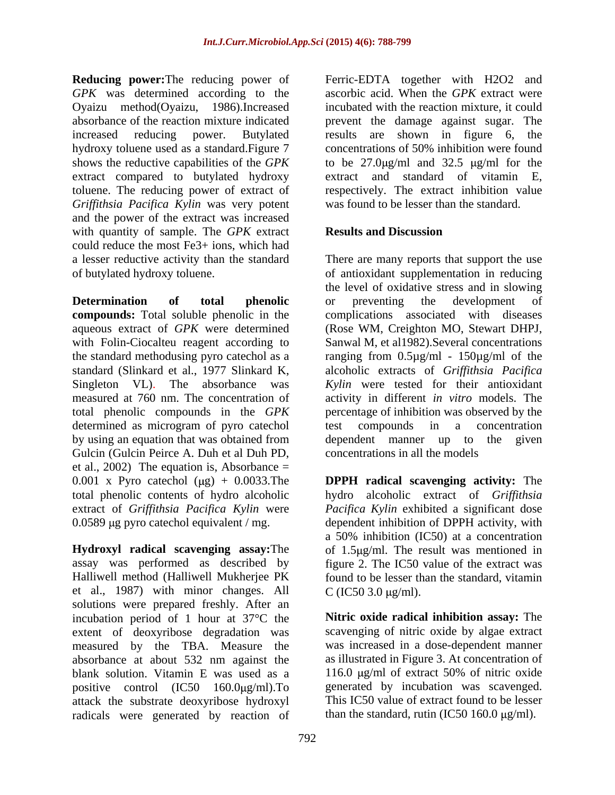*GPK* was determined according to the Oyaizu method(Oyaizu, 1986).Increased extract compared to butylated hydroxy *Grif ithsia Pacifica Kylin* was very potent and the power of the extract was increased with quantity of sample. The *GPK* extract **Results and Discussion** could reduce the most Fe3+ ions, which had a lesser reductive activity than the standard There are many reports that support the use

**Determination of total phenolic compounds:** Total soluble phenolic in the aqueous extract of *GPK* were determined (Rose WM, Creighton MO, Stewart DHPJ, with Folin-Ciocalteu reagent according to Sanwal M, et al1982). Several concentrations the standard methodusing pyro catechol as a ranging from 0.5µg/ml - 150µg/ml of the standard (Slinkard et al., 1977 Slinkard K, alcoholic extracts of *Grif ithsia Pacifica* Singleton VL). The absorbance was *Kylin* were tested for their antioxidant measured at 760 nm. The concentration of activity in different *in vitro* models. The total phenolic compounds in the *GPK*  percentage of inhibition was observed by the determined as microgram of pyro catechol test compounds in a concentration by using an equation that was obtained from dependent manner up to the given Gulcin (Gulcin Peirce A. Duh et al Duh PD, et al., 2002) The equation is, Absorbance  $=$ 0.001 x Pyro catechol (μg) + 0.0033.The **DPPH radical scavenging activity:** The total phenolic contents of hydro alcoholic extract of *Griffithsia Pacifica Kylin* were 0.0589 µg pyro catechol equivalent / mg. dependent inhibition of DPPH activity, with

**Hydroxyl radical scavenging assay: The**  $\qquad$  **of 1.5 µg/ml. The result was mentioned in** assay was performed as described by Halliwell method (Halliwell Mukherjee PK found to be lesser than the standard, vitamin et al., 1987) with minor changes. All  $C (IC50 3.0 \mu g/ml)$ . solutions were prepared freshly. After an incubation period of 1 hour at 37°C the extent of deoxyribose degradation was measured by the TBA. Measure the absorbance at about 532 nm against the blank solution. Vitamin E was used as a positive control  $(IC50 \t160.0 \mu g/ml)$ . To attack the substrate deoxyribose hydroxyl radicals were generated by reaction of

**Reducing power:**The reducing power of Ferric-EDTA together with H2O2 and absorbance of the reaction mixture indicated prevent the damage against sugar. The increased reducing power. Butylated results are shown in figure 6, the hydroxy toluene used as a standard.Figure 7 concentrations of 50% inhibition were found shows the reductive capabilities of the  $GPK$  to be  $27.0 \mu g/ml$  and  $32.5 \mu g/ml$  for the toluene. The reducing power of extract of respectively. The extract inhibition value ascorbic acid. When the *GPK* extract were incubated with the reaction mixture, it could extract and standard of vitamin E, was found to be lesser than the standard.

### **Results and Discussion**

of butylated hydroxy toluene. of antioxidant supplementation in reducing the level of oxidative stress and in slowing or preventing the development of complications associated with diseases test compounds in a concentration concentrations in all the models

> hydro alcoholic extract of *Griffithsia Pacifica Kylin* exhibited a significant dose a 50% inhibition (IC50) at a concentration figure 2. The IC50 value of the extract was C (IC50 3.0  $\mu$ g/ml).

**Nitric oxide radical inhibition assay:** The scavenging of nitric oxide by algae extract was increased in a dose-dependent manner as illustrated in Figure 3. At concentration of 116.0  $\mu$ g/ml of extract 50% of nitric oxide generated by incubation was scavenged. This IC50 value of extract found to be lesser than the standard, rutin (IC50 160.0  $\mu$ g/ml).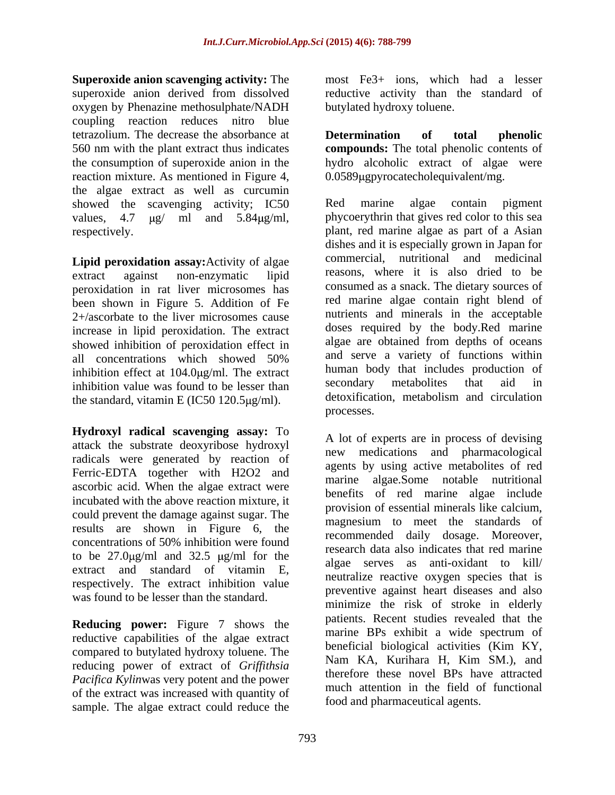**Superoxide anion scavenging activity:** The superoxide anion derived from dissolved reductive activity than the standard of oxygen by Phenazine methosulphate/NADH coupling reaction reduces nitro blue tetrazolium. The decrease the absorbance at 560 nm with the plant extract thus indicates **compounds:** The total phenolic contents of the consumption of superoxide anion in the hydro alcoholic extract of algae were reaction mixture. As mentioned in Figure 4, the algae extract as well as curcumin showed the scavenging activity; IC50 Red marine algae contain pigment

**Lipid peroxidation assay:**Activity of algae peroxidation in rat liver microsomes has been shown in Figure 5. Addition of Fe 2+/ascorbate to the liver microsomes cause increase in lipid peroxidation. The extract showed inhibition of peroxidation effect in inhibition effect at  $104.0 \mu g/ml$ . The extract human body that includes production of inhibition value was found to be lesser than secondary metabolites that aid in inhibition value was found to be lesser than the standard, vitamin E (IC50 120.5 $\mu$ g/ml). detoxiticat processes.

**Hydroxyl radical scavenging assay:** To attack the substrate deoxyribose hydroxyl radicals were generated by reaction of Ferric-EDTA together with H2O2 and ascorbic acid. When the algae extract were incubated with the above reaction mixture, it could prevent the damage against sugar. The results are shown in Figure 6, the concentrations of 50% inhibition were found to be  $27.0 \mu g/ml$  and  $32.5 \mu g/ml$  for the extract and standard of vitamin E, respectively. The extract inhibition value was found to be lesser than the standard.

**Reducing power:** Figure 7 shows the reductive capabilities of the algae extract compared to butylated hydroxy toluene. The the compared to butylated hydroxy toluene. The compared to butylated hydroxy toluene. The compared to butylated hydroxy toluene. The compared to butylated hydroxy toluene. The com reducing power of extract of *Griffithsia Pacifica Kylin*was very potent and the power of the extract was increased with quantity of sample. The algae extract could reduce the

most Fe3+ ions, which had a lesser butylated hydroxy toluene.

**Determination of total phenolic** 0.0589µgpyrocatecholequivalent/mg.

values,  $4.7 \mu g / m$ l and  $5.84 \mu g / m$ l, phycoerythrin that gives red color to this sea respectively. plant, red marine algae as part of a Asian extract against non-enzymatic lipid reasons, where it is also dried to be all concentrations which showed 50% and serve a variety of functions within Red marine algae contain pigment dishes and it is especially grown in Japan for commercial, nutritional and medicinal reasons, where it is also dried to be consumed as a snack. The dietary sources of red marine algae contain right blend of nutrients and minerals in the acceptable doses required by the body.Red marine algae are obtained from depths of oceans and serve a variety of functions within human body that includes production of secondary metabolites that aid in detoxification, metabolism and circulation processes.

concentrations of 50% inhibition were found<br>the case of the case indicates that not meripe A lot of experts are in process of devising new medications and pharmacological agents by using active metabolites of red marine algae.Some notable nutritional benefits of red marine algae include provision of essential minerals like calcium, magnesium to meet the standards of recommended daily dosage. Moreover, research data also indicates that red marine algae serves as anti-oxidant to kill/ neutralize reactive oxygen species that is preventive against heart diseases and also minimize the risk of stroke in elderly patients. Recent studies revealed that the marine BPs exhibit a wide spectrum of beneficial biological activities (Kim KY, Nam KA, Kurihara H, Kim SM.), and therefore these novel BPs have attracted much attention in the field of functional food and pharmaceutical agents.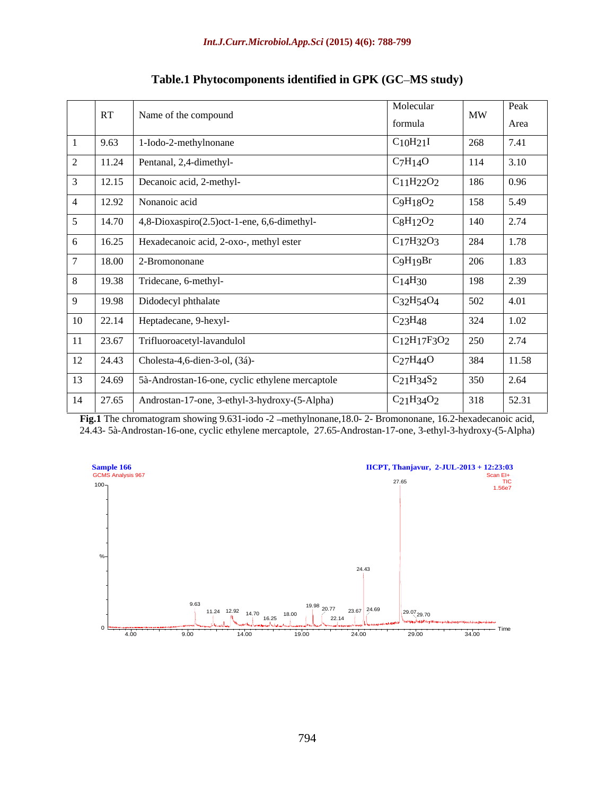| RT<br>——<br>——— <del>—</del><br>the contract of the contract of the contract of<br>the contract of the contract of the contract of<br>12.92 Nonanoic acid<br>the contract of the contract of the contract of the contract of the contract of | Name of the compound<br>$9.63$ 1-Iodo-2-methylnonane<br>$11.24$ Pentanal, 2,4-dimethyl-<br>$\vert$ 12.15 Decanoic acid, 2-methyl-<br>$\vert$ 14.70 $\vert$ 4,8-Dioxaspiro(2.5) oct-1-ene, 6,6-dimethyl- | formula<br>$C_{10}H_{21}I$<br>$C_7H_14O$<br>$C_{11}H_{22}O_2$<br>C9H18O2 | MW<br>Area<br>7.41<br>268<br>3.10<br>114<br>$\vert$ 0.96<br>186<br>5.49<br>158 |
|----------------------------------------------------------------------------------------------------------------------------------------------------------------------------------------------------------------------------------------------|---------------------------------------------------------------------------------------------------------------------------------------------------------------------------------------------------------|--------------------------------------------------------------------------|--------------------------------------------------------------------------------|
|                                                                                                                                                                                                                                              |                                                                                                                                                                                                         |                                                                          |                                                                                |
|                                                                                                                                                                                                                                              |                                                                                                                                                                                                         |                                                                          |                                                                                |
|                                                                                                                                                                                                                                              |                                                                                                                                                                                                         |                                                                          |                                                                                |
|                                                                                                                                                                                                                                              |                                                                                                                                                                                                         |                                                                          |                                                                                |
|                                                                                                                                                                                                                                              |                                                                                                                                                                                                         |                                                                          |                                                                                |
|                                                                                                                                                                                                                                              |                                                                                                                                                                                                         | $C_8H_{12}O_2$                                                           | $\frac{1}{2.74}$<br>140                                                        |
|                                                                                                                                                                                                                                              | 16.25   Hexadecanoic acid, 2-oxo-, methyl ester                                                                                                                                                         | $C_{17}H_{32}O_3$                                                        | $\boxed{1.78}$<br>284                                                          |
| $18.00$ 2-Bromononane                                                                                                                                                                                                                        |                                                                                                                                                                                                         | C9H19Br                                                                  | 1.83<br>206                                                                    |
|                                                                                                                                                                                                                                              | 19.38 Tridecane, 6-methyl-                                                                                                                                                                              | C <sub>14</sub> H <sub>30</sub>                                          | $\frac{1}{2.39}$<br>198                                                        |
| 19.98   Didodecyl phthalate                                                                                                                                                                                                                  |                                                                                                                                                                                                         | $C_32H_54O_4$                                                            | 4.01<br>502                                                                    |
| 10   22.14   Heptadecane, 9-hexyl-                                                                                                                                                                                                           |                                                                                                                                                                                                         | C <sub>23</sub> H <sub>48</sub>                                          | $\boxed{1.02}$<br>324                                                          |
|                                                                                                                                                                                                                                              | 11 23.67 Trifluoroacetyl-lavandulol                                                                                                                                                                     | $C_{12}H_{17}F_{3}O_{2}$ 250                                             | $\boxed{2.74}$                                                                 |
|                                                                                                                                                                                                                                              | 12 24.43 Cholesta-4,6-dien-3-ol, (3á)-                                                                                                                                                                  | $C_2$ 7H44O                                                              | 11.58<br>384                                                                   |
|                                                                                                                                                                                                                                              | 13 24.69 5à-Androstan-16-one, cyclic ethylene mercaptole                                                                                                                                                | $C_21H_34S_2$                                                            | $\boxed{2.64}$<br>350                                                          |
|                                                                                                                                                                                                                                              | $\boxed{14 \quad 27.65 \quad$ Androstan-17-one, 3-ethyl-3-hydroxy-(5-Alpha)                                                                                                                             | $C_{21}H_{34}O_2$                                                        | 52.31<br>318                                                                   |

| <b>Table.1 Phytoco</b><br>$\mathbf{R}$<br><b>"ed in GPK (GC–MS study)</b><br>ocomponents identifie |  |  |
|----------------------------------------------------------------------------------------------------|--|--|
|                                                                                                    |  |  |

**Fig.1** The chromatogram showing 9.631-iodo -2 methylnonane,18.0- 2- Bromononane, 16.2-hexadecanoic acid, 24.43- 5à-Androstan-16-one, cyclic ethylene mercaptole, 27.65-Androstan-17-one, 3-ethyl-3-hydroxy-(5-Alpha)

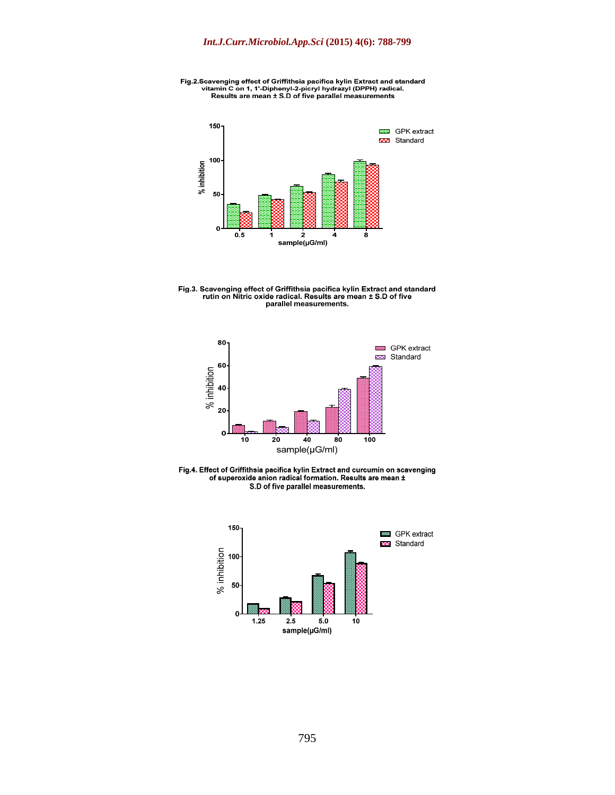







Fig.4. Effect of Griffithsia pacifica kylin Extract and curcumin on scavenging<br>of superoxide anion radical formation. Results are mean ±<br>S.D of five parallel measurements.

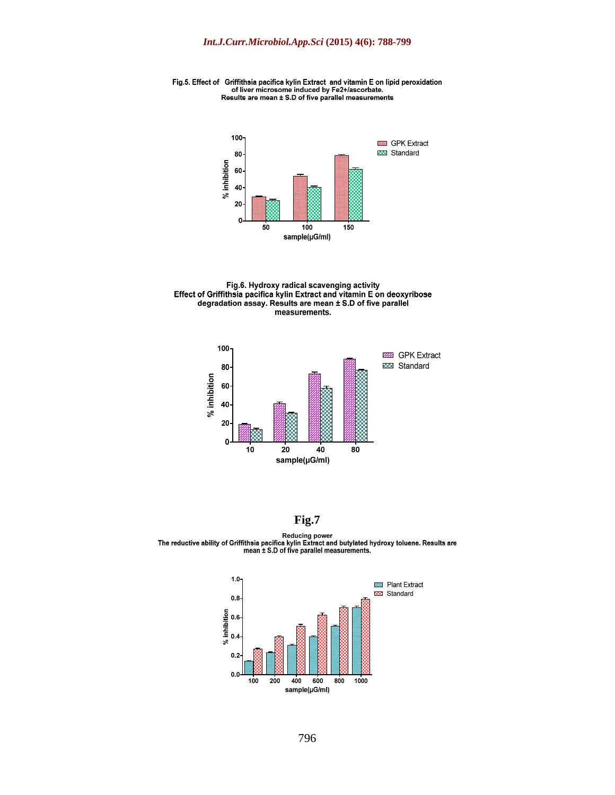Fig.5. Effect of Griffithsia pacifica kylin Extract and vitamin E on lipid peroxidation<br>of liver microsome induced by Fe2+/ascorbate.<br>Results are mean ± S.D of five parallel measurements



Fig.6. Hydroxy radical scavenging activity<br>Effect of Griffithsia pacifica kylin Extract and vitamin E on deoxyribose<br>degradation assay. Results are mean ± S.D of five parallel measurements.



**Fig.7**

Reducing power<br>The reductive ability of Griffithsia pacifica kylin Extract and butylated hydroxy toluene. Results are<br>mean ± S.D of five parallel measurements.

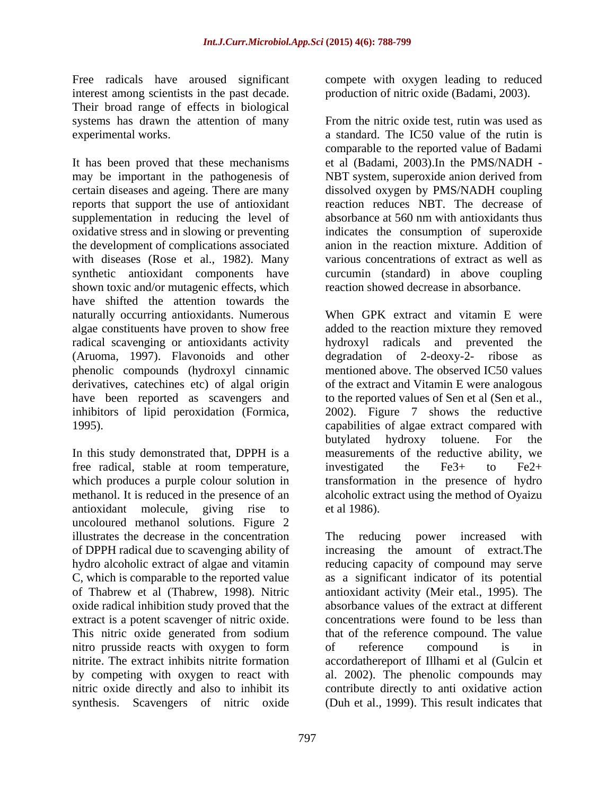interest among scientists in the past decade. production of nitric oxide (Badami, 2003). Their broad range of effects in biological systems has drawn the attention of many From the nitric oxide test, rutin was used as

It has been proved that these mechanisms et al (Badami, 2003).In the PMS/NADH may be important in the pathogenesis of NBT system, superoxide anion derived from certain diseases and ageing. There are many dissolved oxygen by PMS/NADH coupling reports that support the use of antioxidant supplementation in reducing the level of absorbance at 560 nm with antioxidants thus oxidative stress and in slowing or preventing the development of complications associated with diseases (Rose et al., 1982). Many synthetic antioxidant components have curcumin (standard) in above coupling shown toxic and/or mutagenic effects, which have shifted the attention towards the naturally occurring antioxidants. Numerous algae constituents have proven to show free radical scavenging or antioxidants activity by the hydroxyl radicals and prevented the (Aruoma, 1997). Flavonoids and other degradation of 2-deoxy-2- ribose as derivatives, catechines etc) of algal origin

free radical, stable at room temperature, investigated the Fe3+ to Fe2+ antioxidant molecule, giving rise to uncoloured methanol solutions. Figure 2 illustrates the decrease in the concentration The reducing power increased with oxide radical inhibition study proved that the extract is a potent scavenger of nitric oxide. nitro prusside reacts with oxygen to form of reference compound is in

Free radicals have aroused significant compete with oxygen leading to reduced

experimental works. a standard. The IC50 value of the rutin is production of nitric oxide (Badami, 2003). From the nitric oxide test, rutin was used as comparable to the reported value of Badami reaction reduces NBT. The decrease of absorbance at 560 nm with antioxidants thus indicates the consumption of superoxide anion in the reaction mixture. Addition of various concentrations of extract as well as reaction showed decrease in absorbance.

phenolic compounds (hydroxyl cinnamic mentioned above. The observed IC50 values have been reported as scavengers and to the reported values of Sen et al (Sen et al., inhibitors of lipid peroxidation (Formica, 2002). Figure 7 shows the reductive 1995). capabilities of algae extract compared with In this study demonstrated that, DPPH is a measurements of the reductive ability, we which produces a purple colour solution in transformation in the presence of hydro methanol. It is reduced in the presence of an alcoholic extract using the method of Oyaizu When GPK extract and vitamin E were added to the reaction mixture they removed hydroxyl radicals and prevented  $degradation$  of 2-deoxy-2- ribose of the extract and Vitamin E were analogous butylated hydroxy toluene. For the investigated the Fe3+ to Fe2+ et al 1986).

of DPPH radical due to scavenging ability of increasing the amount of extract.The hydro alcoholic extract of algae and vitamin reducing capacity of compound may serve C, which is comparable to the reported value as a significant indicator of its potential of Thabrew et al (Thabrew, 1998). Nitric antioxidant activity (Meir etal., 1995). The This nitric oxide generated from sodium that of the reference compound. The value nitrite. The extract inhibits nitrite formation accordathereport of Illhami et al (Gulcin et by competing with oxygen to react with al. 2002). The phenolic compoundsmay nitric oxide directly and also to inhibit its contribute directly to anti oxidative action synthesis. Scavengers of nitric oxide (Duh et al., 1999). This result indicates thatThe reducing power increased with absorbance values of the extract at different concentrations were found to be less than of reference compound is in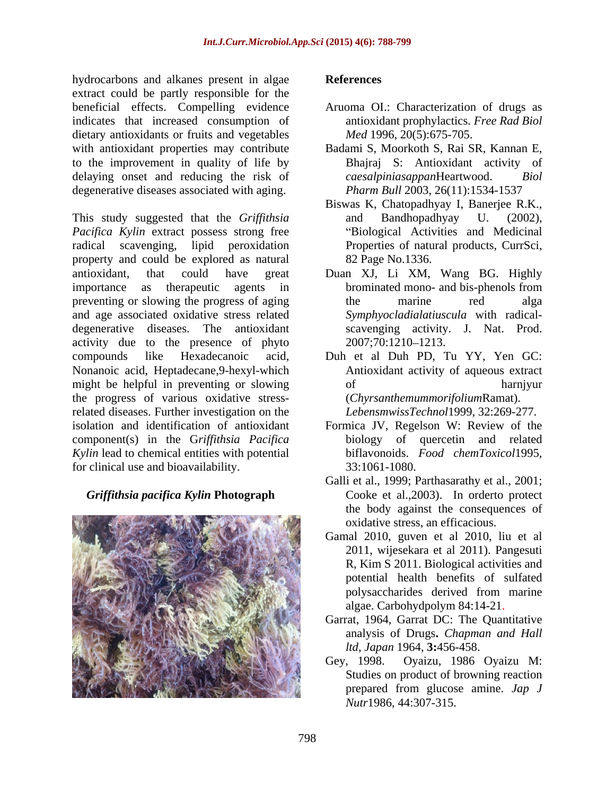hydrocarbons and alkanes present in algae **References** extract could be partly responsible for the beneficial effects. Compelling evidence Aruoma OI.: Characterization of drugs as indicates that increased consumption of dietary antioxidants or fruits and vegetables with antioxidant properties may contribute to the improvement in quality of life by delaying onset and reducing the risk of caesalpiniasappanHeartwood. Biol degenerative diseases associated with aging.

This study suggested that the *Griffithsia Pacifica Kylin* extract possess strong free radical scavenging, lipid peroxidation Properties of natural products, CurrSci, property and could be explored as natural antioxidant, that could have great Duan XJ, Li XM, Wang BG. Highly importance as the rapeutic agents in brominated mono- and bis-phenols from preventing or slowing the progress of aging the marine red alga and age associated oxidative stress related degenerative diseases. The antioxidant activity due to the presence of phyto  $2007;70:1210-1213$ . compounds like Hexadecanoic acid, Duh et al Duh PD, Tu YY, Yen GC: Nonanoic acid, Heptadecane,9-hexyl-which might be helpful in preventing or slowing of of harniyur the progress of various oxidative stressrelated diseases. Further investigation on the isolation and identification of antioxidant Formica JV, Regelson W: Review of the component(s) in the G*rif ithsia Pacifica Kylin* lead to chemical entities with potential for clinical use and bioavailability.

#### *Griffithsia pacifica Kylin* **Photograph**



#### **References**

- antioxidant prophylactics. *Free Rad Biol Med* 1996, 20(5):675-705.
- Badami S, Moorkoth S, Rai SR, Kannan E, Bhajraj S: Antioxidant activity of  $caesalpiniasappa$ Heartwood. *Pharm Bull* 2003, 26(11):1534-1537
- Biswas K, Chatopadhyay I, Banerjee R.K., and Bandhopadhyay U. (2002), Biological Activities and Medicinal 82 Page No.1336.
- brominated mono- and bis-phenols from the marine red alga *Symphyocladialatiuscula* with radical scavenging activity. J. Nat. Prod. 2007;70:1210 1213.
- Antioxidant activity of aqueous extract of harnjyur (*Chyrsanthemummorifolium*Ramat). *LebensmwissTechnol*1999, 32:269-277.
- biology of quercetin and related biflavonoids. *Food chemToxicol*1995, 33:1061-1080.
- Galli et al., 1999; Parthasarathy et al., 2001; Cooke et al.,2003). In orderto protect the body against the consequences of oxidative stress, an efficacious.
- Gamal 2010, guven et al 2010, liu et al 2011, wijesekara et al 2011). Pangesuti R, Kim S 2011. Biological activities and potential health benefits of sulfated polysaccharides derived from marine algae. Carbohydpolym 84:14-21.
- Garrat, 1964, Garrat DC: The Quantitative analysis of Drugs**.** *Chapman and Hall ltd, Japan* 1964, **3:**456-458.
- Gey, 1998. Oyaizu, 1986 Oyaizu M: Studies on product of browning reaction prepared from glucose amine. *Jap J Nutr*1986, 44:307-315.